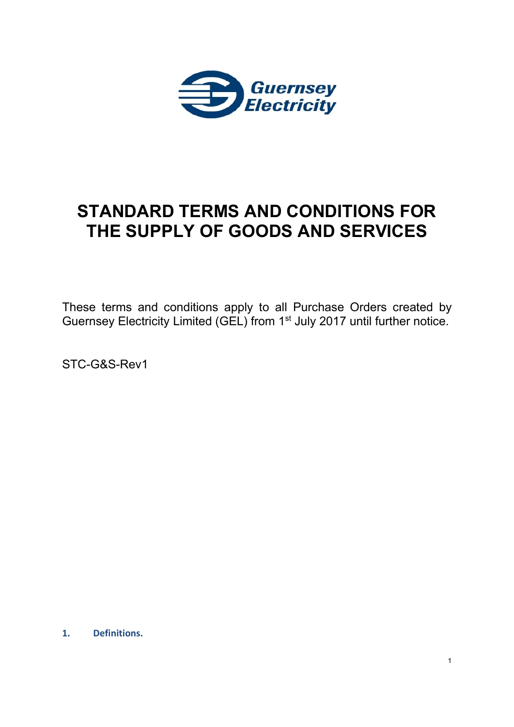

# **STANDARD TERMS AND CONDITIONS FOR THE SUPPLY OF GOODS AND SERVICES**

These terms and conditions apply to all Purchase Orders created by Guernsey Electricity Limited (GEL) from 1<sup>st</sup> July 2017 until further notice.

STC-G&S-Rev1

**1. Definitions.**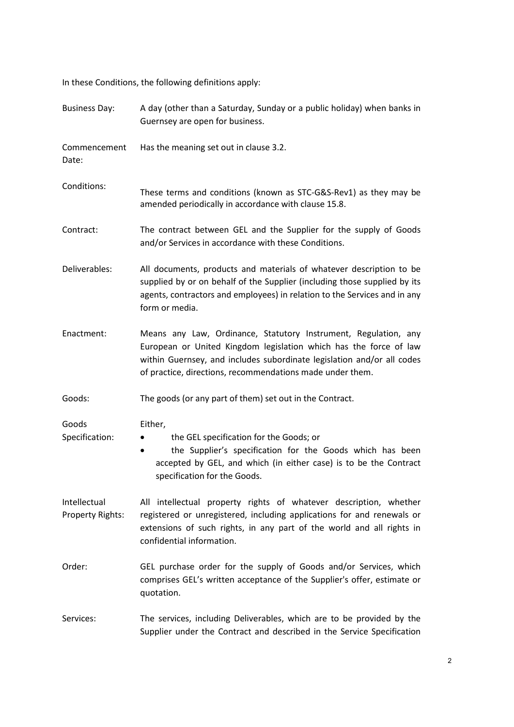In these Conditions, the following definitions apply:

| <b>Business Day:</b>                    | A day (other than a Saturday, Sunday or a public holiday) when banks in<br>Guernsey are open for business.                                                                                                                                                                  |  |
|-----------------------------------------|-----------------------------------------------------------------------------------------------------------------------------------------------------------------------------------------------------------------------------------------------------------------------------|--|
| Commencement<br>Date:                   | Has the meaning set out in clause 3.2.                                                                                                                                                                                                                                      |  |
| Conditions:                             | These terms and conditions (known as STC-G&S-Rev1) as they may be<br>amended periodically in accordance with clause 15.8.                                                                                                                                                   |  |
| Contract:                               | The contract between GEL and the Supplier for the supply of Goods<br>and/or Services in accordance with these Conditions.                                                                                                                                                   |  |
| Deliverables:                           | All documents, products and materials of whatever description to be<br>supplied by or on behalf of the Supplier (including those supplied by its<br>agents, contractors and employees) in relation to the Services and in any<br>form or media.                             |  |
| Enactment:                              | Means any Law, Ordinance, Statutory Instrument, Regulation, any<br>European or United Kingdom legislation which has the force of law<br>within Guernsey, and includes subordinate legislation and/or all codes<br>of practice, directions, recommendations made under them. |  |
| Goods:                                  | The goods (or any part of them) set out in the Contract.                                                                                                                                                                                                                    |  |
| Goods<br>Specification:                 | Either,<br>the GEL specification for the Goods; or<br>the Supplier's specification for the Goods which has been<br>$\bullet$<br>accepted by GEL, and which (in either case) is to be the Contract<br>specification for the Goods.                                           |  |
| Intellectual<br><b>Property Rights:</b> | All intellectual property rights of whatever description, whether<br>registered or unregistered, including applications for and renewals or<br>extensions of such rights, in any part of the world and all rights in<br>confidential information.                           |  |
| Order:                                  | GEL purchase order for the supply of Goods and/or Services, which<br>comprises GEL's written acceptance of the Supplier's offer, estimate or<br>quotation.                                                                                                                  |  |
| Services:                               | The services, including Deliverables, which are to be provided by the<br>Supplier under the Contract and described in the Service Specification                                                                                                                             |  |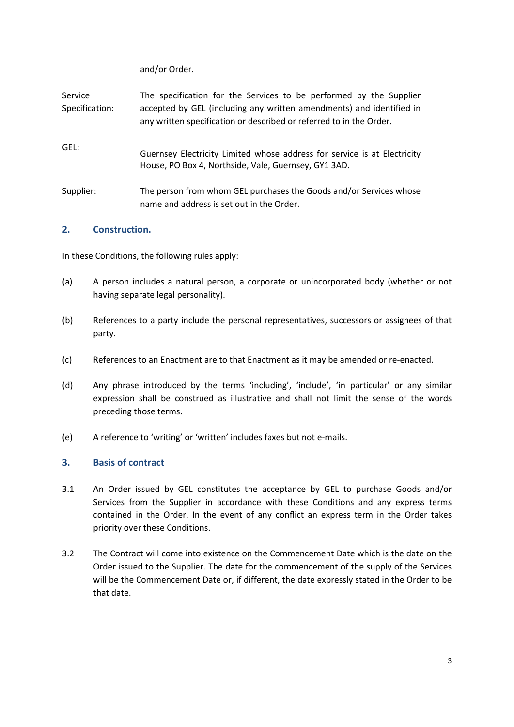and/or Order.

| Service<br>Specification: | The specification for the Services to be performed by the Supplier<br>accepted by GEL (including any written amendments) and identified in<br>any written specification or described or referred to in the Order. |
|---------------------------|-------------------------------------------------------------------------------------------------------------------------------------------------------------------------------------------------------------------|
| GEL:                      | Guernsey Electricity Limited whose address for service is at Electricity<br>House, PO Box 4, Northside, Vale, Guernsey, GY1 3AD.                                                                                  |
| Supplier:                 | The person from whom GEL purchases the Goods and/or Services whose<br>name and address is set out in the Order.                                                                                                   |

# **2. Construction.**

In these Conditions, the following rules apply:

- (a) A person includes a natural person, a corporate or unincorporated body (whether or not having separate legal personality).
- (b) References to a party include the personal representatives, successors or assignees of that party.
- (c) References to an Enactment are to that Enactment as it may be amended or re-enacted.
- (d) Any phrase introduced by the terms 'including', 'include', 'in particular' or any similar expression shall be construed as illustrative and shall not limit the sense of the words preceding those terms.
- (e) A reference to 'writing' or 'written' includes faxes but not e-mails.

# **3. Basis of contract**

- 3.1 An Order issued by GEL constitutes the acceptance by GEL to purchase Goods and/or Services from the Supplier in accordance with these Conditions and any express terms contained in the Order. In the event of any conflict an express term in the Order takes priority over these Conditions.
- 3.2 The Contract will come into existence on the Commencement Date which is the date on the Order issued to the Supplier. The date for the commencement of the supply of the Services will be the Commencement Date or, if different, the date expressly stated in the Order to be that date.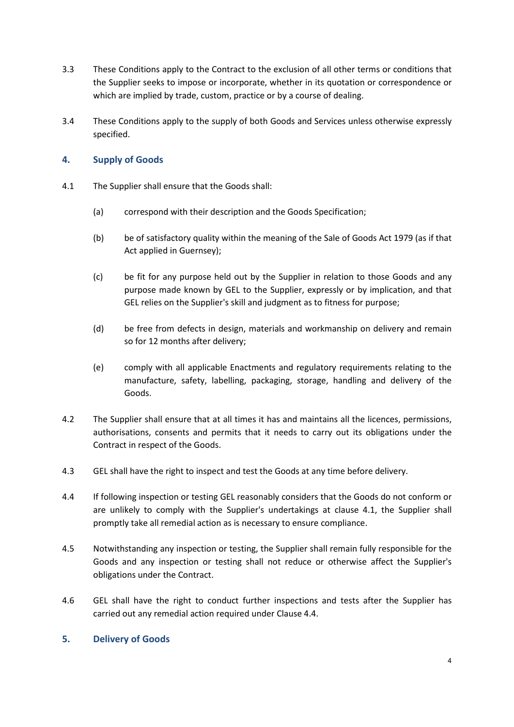- 3.3 These Conditions apply to the Contract to the exclusion of all other terms or conditions that the Supplier seeks to impose or incorporate, whether in its quotation or correspondence or which are implied by trade, custom, practice or by a course of dealing.
- 3.4 These Conditions apply to the supply of both Goods and Services unless otherwise expressly specified.

# **4. Supply of Goods**

- 4.1 The Supplier shall ensure that the Goods shall:
	- (a) correspond with their description and the Goods Specification;
	- (b) be of satisfactory quality within the meaning of the Sale of Goods Act 1979 (as if that Act applied in Guernsey);
	- (c) be fit for any purpose held out by the Supplier in relation to those Goods and any purpose made known by GEL to the Supplier, expressly or by implication, and that GEL relies on the Supplier's skill and judgment as to fitness for purpose;
	- (d) be free from defects in design, materials and workmanship on delivery and remain so for 12 months after delivery;
	- (e) comply with all applicable Enactments and regulatory requirements relating to the manufacture, safety, labelling, packaging, storage, handling and delivery of the Goods.
- 4.2 The Supplier shall ensure that at all times it has and maintains all the licences, permissions, authorisations, consents and permits that it needs to carry out its obligations under the Contract in respect of the Goods.
- 4.3 GEL shall have the right to inspect and test the Goods at any time before delivery.
- 4.4 If following inspection or testing GEL reasonably considers that the Goods do not conform or are unlikely to comply with the Supplier's undertakings at clause 4.1, the Supplier shall promptly take all remedial action as is necessary to ensure compliance.
- 4.5 Notwithstanding any inspection or testing, the Supplier shall remain fully responsible for the Goods and any inspection or testing shall not reduce or otherwise affect the Supplier's obligations under the Contract.
- 4.6 GEL shall have the right to conduct further inspections and tests after the Supplier has carried out any remedial action required under Clause 4.4.

## **5. Delivery of Goods**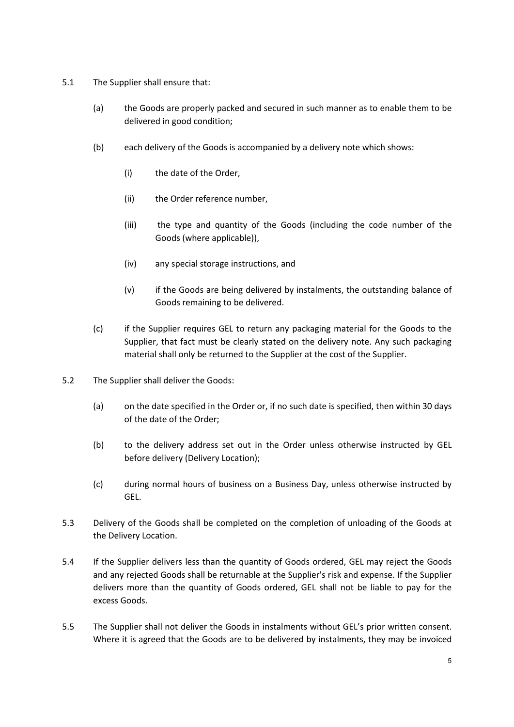- 5.1 The Supplier shall ensure that:
	- (a) the Goods are properly packed and secured in such manner as to enable them to be delivered in good condition;
	- (b) each delivery of the Goods is accompanied by a delivery note which shows:
		- (i) the date of the Order,
		- (ii) the Order reference number,
		- (iii) the type and quantity of the Goods (including the code number of the Goods (where applicable)),
		- (iv) any special storage instructions, and
		- (v) if the Goods are being delivered by instalments, the outstanding balance of Goods remaining to be delivered.
	- (c) if the Supplier requires GEL to return any packaging material for the Goods to the Supplier, that fact must be clearly stated on the delivery note. Any such packaging material shall only be returned to the Supplier at the cost of the Supplier.
- 5.2 The Supplier shall deliver the Goods:
	- (a) on the date specified in the Order or, if no such date is specified, then within 30 days of the date of the Order;
	- (b) to the delivery address set out in the Order unless otherwise instructed by GEL before delivery (Delivery Location);
	- (c) during normal hours of business on a Business Day, unless otherwise instructed by GEL.
- 5.3 Delivery of the Goods shall be completed on the completion of unloading of the Goods at the Delivery Location.
- 5.4 If the Supplier delivers less than the quantity of Goods ordered, GEL may reject the Goods and any rejected Goods shall be returnable at the Supplier's risk and expense. If the Supplier delivers more than the quantity of Goods ordered, GEL shall not be liable to pay for the excess Goods.
- 5.5 The Supplier shall not deliver the Goods in instalments without GEL's prior written consent. Where it is agreed that the Goods are to be delivered by instalments, they may be invoiced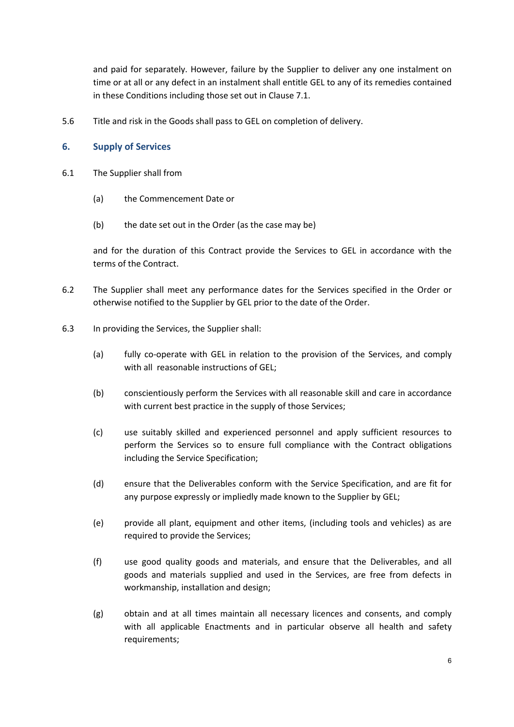and paid for separately. However, failure by the Supplier to deliver any one instalment on time or at all or any defect in an instalment shall entitle GEL to any of its remedies contained in these Conditions including those set out in Clause 7.1.

5.6 Title and risk in the Goods shall pass to GEL on completion of delivery.

## **6. Supply of Services**

- 6.1 The Supplier shall from
	- (a) the Commencement Date or
	- (b) the date set out in the Order (as the case may be)

and for the duration of this Contract provide the Services to GEL in accordance with the terms of the Contract.

- 6.2 The Supplier shall meet any performance dates for the Services specified in the Order or otherwise notified to the Supplier by GEL prior to the date of the Order.
- 6.3 In providing the Services, the Supplier shall:
	- (a) fully co-operate with GEL in relation to the provision of the Services, and comply with all reasonable instructions of GEL:
	- (b) conscientiously perform the Services with all reasonable skill and care in accordance with current best practice in the supply of those Services;
	- (c) use suitably skilled and experienced personnel and apply sufficient resources to perform the Services so to ensure full compliance with the Contract obligations including the Service Specification;
	- (d) ensure that the Deliverables conform with the Service Specification, and are fit for any purpose expressly or impliedly made known to the Supplier by GEL;
	- (e) provide all plant, equipment and other items, (including tools and vehicles) as are required to provide the Services:
	- (f) use good quality goods and materials, and ensure that the Deliverables, and all goods and materials supplied and used in the Services, are free from defects in workmanship, installation and design;
	- (g) obtain and at all times maintain all necessary licences and consents, and comply with all applicable Enactments and in particular observe all health and safety requirements;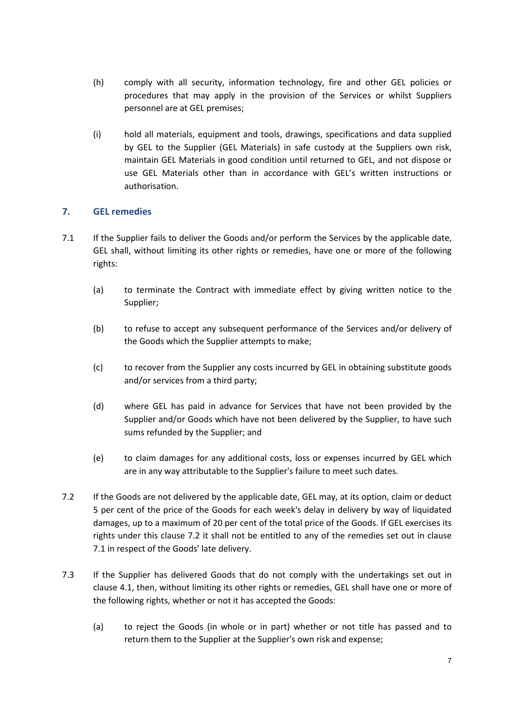- (h) comply with all security, information technology, fire and other GEL policies or procedures that may apply in the provision of the Services or whilst Suppliers personnel are at GEL premises;
- (i) hold all materials, equipment and tools, drawings, specifications and data supplied by GEL to the Supplier (GEL Materials) in safe custody at the Suppliers own risk, maintain GEL Materials in good condition until returned to GEL, and not dispose or use GEL Materials other than in accordance with GEL's written instructions or authorisation.

# **7. GEL remedies**

- 7.1 If the Supplier fails to deliver the Goods and/or perform the Services by the applicable date, GEL shall, without limiting its other rights or remedies, have one or more of the following rights:
	- (a) to terminate the Contract with immediate effect by giving written notice to the Supplier;
	- (b) to refuse to accept any subsequent performance of the Services and/or delivery of the Goods which the Supplier attempts to make;
	- (c) to recover from the Supplier any costs incurred by GEL in obtaining substitute goods and/or services from a third party;
	- (d) where GEL has paid in advance for Services that have not been provided by the Supplier and/or Goods which have not been delivered by the Supplier, to have such sums refunded by the Supplier; and
	- (e) to claim damages for any additional costs, loss or expenses incurred by GEL which are in any way attributable to the Supplier's failure to meet such dates.
- 7.2 If the Goods are not delivered by the applicable date, GEL may, at its option, claim or deduct 5 per cent of the price of the Goods for each week's delay in delivery by way of liquidated damages, up to a maximum of 20 per cent of the total price of the Goods. If GEL exercises its rights under this clause 7.2 it shall not be entitled to any of the remedies set out in clause 7.1 in respect of the Goods' late delivery.
- 7.3 If the Supplier has delivered Goods that do not comply with the undertakings set out in clause 4.1, then, without limiting its other rights or remedies, GEL shall have one or more of the following rights, whether or not it has accepted the Goods:
	- (a) to reject the Goods (in whole or in part) whether or not title has passed and to return them to the Supplier at the Supplier's own risk and expense;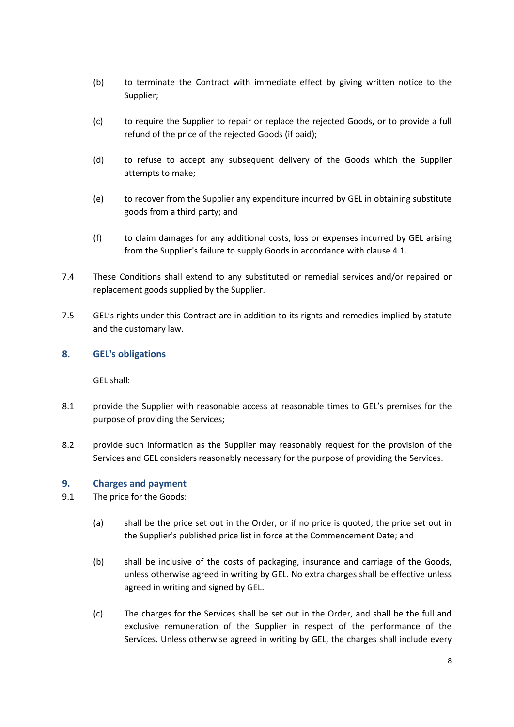- (b) to terminate the Contract with immediate effect by giving written notice to the Supplier;
- (c) to require the Supplier to repair or replace the rejected Goods, or to provide a full refund of the price of the rejected Goods (if paid);
- (d) to refuse to accept any subsequent delivery of the Goods which the Supplier attempts to make;
- (e) to recover from the Supplier any expenditure incurred by GEL in obtaining substitute goods from a third party; and
- (f) to claim damages for any additional costs, loss or expenses incurred by GEL arising from the Supplier's failure to supply Goods in accordance with clause 4.1.
- 7.4 These Conditions shall extend to any substituted or remedial services and/or repaired or replacement goods supplied by the Supplier.
- 7.5 GEL's rights under this Contract are in addition to its rights and remedies implied by statute and the customary law.

# **8. GEL's obligations**

GEL shall:

- 8.1 provide the Supplier with reasonable access at reasonable times to GEL's premises for the purpose of providing the Services;
- 8.2 provide such information as the Supplier may reasonably request for the provision of the Services and GEL considers reasonably necessary for the purpose of providing the Services.

# **9. Charges and payment**

- 9.1 The price for the Goods:
	- (a) shall be the price set out in the Order, or if no price is quoted, the price set out in the Supplier's published price list in force at the Commencement Date; and
	- (b) shall be inclusive of the costs of packaging, insurance and carriage of the Goods, unless otherwise agreed in writing by GEL. No extra charges shall be effective unless agreed in writing and signed by GEL.
	- (c) The charges for the Services shall be set out in the Order, and shall be the full and exclusive remuneration of the Supplier in respect of the performance of the Services. Unless otherwise agreed in writing by GEL, the charges shall include every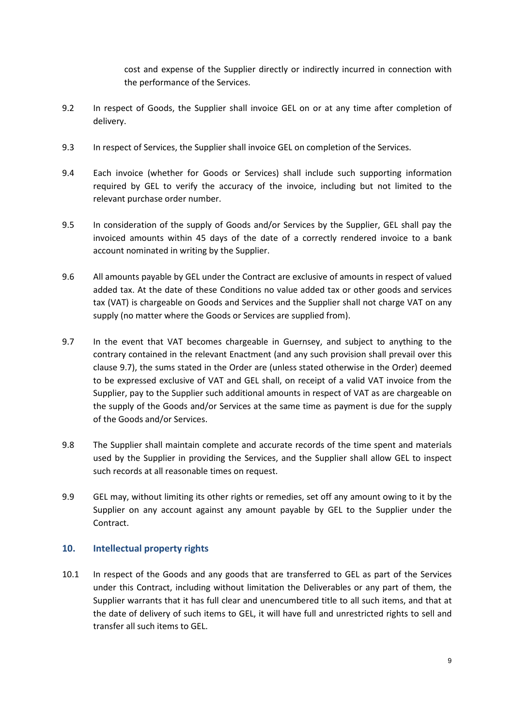cost and expense of the Supplier directly or indirectly incurred in connection with the performance of the Services.

- 9.2 In respect of Goods, the Supplier shall invoice GEL on or at any time after completion of delivery.
- 9.3 In respect of Services, the Supplier shall invoice GEL on completion of the Services.
- 9.4 Each invoice (whether for Goods or Services) shall include such supporting information required by GEL to verify the accuracy of the invoice, including but not limited to the relevant purchase order number.
- 9.5 In consideration of the supply of Goods and/or Services by the Supplier, GEL shall pay the invoiced amounts within 45 days of the date of a correctly rendered invoice to a bank account nominated in writing by the Supplier.
- 9.6 All amounts payable by GEL under the Contract are exclusive of amounts in respect of valued added tax. At the date of these Conditions no value added tax or other goods and services tax (VAT) is chargeable on Goods and Services and the Supplier shall not charge VAT on any supply (no matter where the Goods or Services are supplied from).
- 9.7 In the event that VAT becomes chargeable in Guernsey, and subject to anything to the contrary contained in the relevant Enactment (and any such provision shall prevail over this clause 9.7), the sums stated in the Order are (unless stated otherwise in the Order) deemed to be expressed exclusive of VAT and GEL shall, on receipt of a valid VAT invoice from the Supplier, pay to the Supplier such additional amounts in respect of VAT as are chargeable on the supply of the Goods and/or Services at the same time as payment is due for the supply of the Goods and/or Services.
- 9.8 The Supplier shall maintain complete and accurate records of the time spent and materials used by the Supplier in providing the Services, and the Supplier shall allow GEL to inspect such records at all reasonable times on request.
- 9.9 GEL may, without limiting its other rights or remedies, set off any amount owing to it by the Supplier on any account against any amount payable by GEL to the Supplier under the Contract.

# **10. Intellectual property rights**

10.1 In respect of the Goods and any goods that are transferred to GEL as part of the Services under this Contract, including without limitation the Deliverables or any part of them, the Supplier warrants that it has full clear and unencumbered title to all such items, and that at the date of delivery of such items to GEL, it will have full and unrestricted rights to sell and transfer all such items to GEL.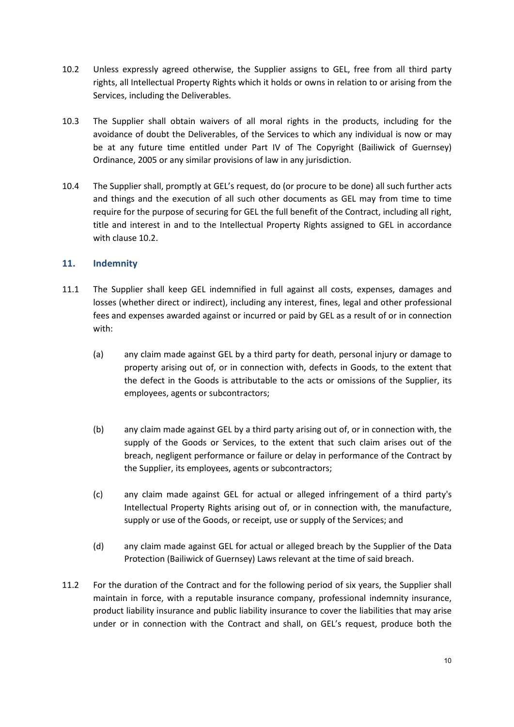- 10.2 Unless expressly agreed otherwise, the Supplier assigns to GEL, free from all third party rights, all Intellectual Property Rights which it holds or owns in relation to or arising from the Services, including the Deliverables.
- 10.3 The Supplier shall obtain waivers of all moral rights in the products, including for the avoidance of doubt the Deliverables, of the Services to which any individual is now or may be at any future time entitled under Part IV of The Copyright (Bailiwick of Guernsey) Ordinance, 2005 or any similar provisions of law in any jurisdiction.
- 10.4 The Supplier shall, promptly at GEL's request, do (or procure to be done) all such further acts and things and the execution of all such other documents as GEL may from time to time require for the purpose of securing for GEL the full benefit of the Contract, including all right, title and interest in and to the Intellectual Property Rights assigned to GEL in accordance with clause 10.2.

# **11. Indemnity**

- 11.1 The Supplier shall keep GEL indemnified in full against all costs, expenses, damages and losses (whether direct or indirect), including any interest, fines, legal and other professional fees and expenses awarded against or incurred or paid by GEL as a result of or in connection with:
	- (a) any claim made against GEL by a third party for death, personal injury or damage to property arising out of, or in connection with, defects in Goods, to the extent that the defect in the Goods is attributable to the acts or omissions of the Supplier, its employees, agents or subcontractors;
	- (b) any claim made against GEL by a third party arising out of, or in connection with, the supply of the Goods or Services, to the extent that such claim arises out of the breach, negligent performance or failure or delay in performance of the Contract by the Supplier, its employees, agents or subcontractors;
	- (c) any claim made against GEL for actual or alleged infringement of a third party's Intellectual Property Rights arising out of, or in connection with, the manufacture, supply or use of the Goods, or receipt, use or supply of the Services; and
	- (d) any claim made against GEL for actual or alleged breach by the Supplier of the Data Protection (Bailiwick of Guernsey) Laws relevant at the time of said breach.
- 11.2 For the duration of the Contract and for the following period of six years, the Supplier shall maintain in force, with a reputable insurance company, professional indemnity insurance, product liability insurance and public liability insurance to cover the liabilities that may arise under or in connection with the Contract and shall, on GEL's request, produce both the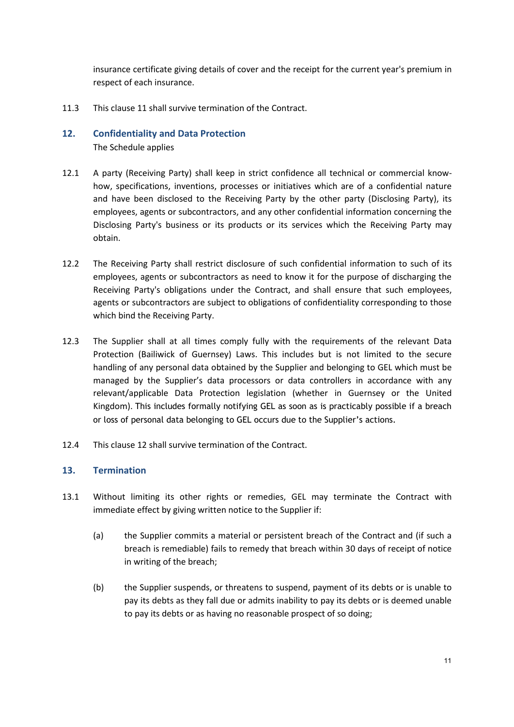insurance certificate giving details of cover and the receipt for the current year's premium in respect of each insurance.

11.3 This clause 11 shall survive termination of the Contract.

# **12. Confidentiality and Data Protection** The Schedule applies

- 12.1 A party (Receiving Party) shall keep in strict confidence all technical or commercial knowhow, specifications, inventions, processes or initiatives which are of a confidential nature and have been disclosed to the Receiving Party by the other party (Disclosing Party), its employees, agents or subcontractors, and any other confidential information concerning the Disclosing Party's business or its products or its services which the Receiving Party may obtain.
- 12.2 The Receiving Party shall restrict disclosure of such confidential information to such of its employees, agents or subcontractors as need to know it for the purpose of discharging the Receiving Party's obligations under the Contract, and shall ensure that such employees, agents or subcontractors are subject to obligations of confidentiality corresponding to those which bind the Receiving Party.
- 12.3 The Supplier shall at all times comply fully with the requirements of the relevant Data Protection (Bailiwick of Guernsey) Laws. This includes but is not limited to the secure handling of any personal data obtained by the Supplier and belonging to GEL which must be managed by the Supplier's data processors or data controllers in accordance with any relevant/applicable Data Protection legislation (whether in Guernsey or the United Kingdom). This includes formally notifying GEL as soon as is practicably possible if a breach or loss of personal data belonging to GEL occurs due to the Supplier's actions.
- 12.4 This clause 12 shall survive termination of the Contract.

# **13. Termination**

- 13.1 Without limiting its other rights or remedies, GEL may terminate the Contract with immediate effect by giving written notice to the Supplier if:
	- (a) the Supplier commits a material or persistent breach of the Contract and (if such a breach is remediable) fails to remedy that breach within 30 days of receipt of notice in writing of the breach;
	- (b) the Supplier suspends, or threatens to suspend, payment of its debts or is unable to pay its debts as they fall due or admits inability to pay its debts or is deemed unable to pay its debts or as having no reasonable prospect of so doing;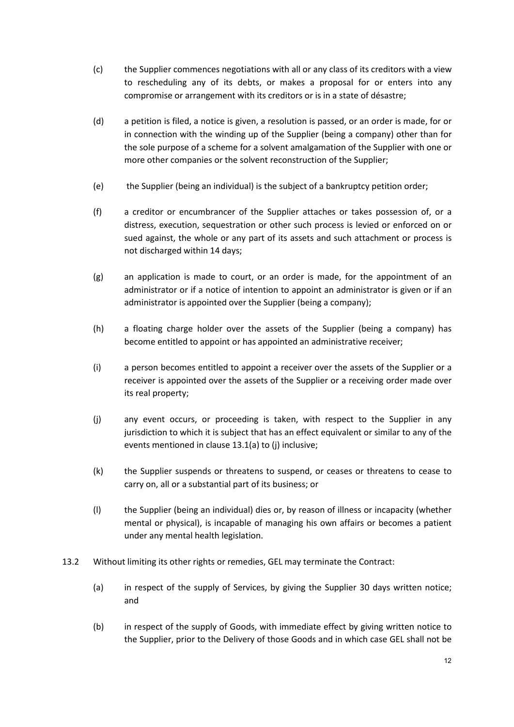- (c) the Supplier commences negotiations with all or any class of its creditors with a view to rescheduling any of its debts, or makes a proposal for or enters into any compromise or arrangement with its creditors or is in a state of désastre;
- (d) a petition is filed, a notice is given, a resolution is passed, or an order is made, for or in connection with the winding up of the Supplier (being a company) other than for the sole purpose of a scheme for a solvent amalgamation of the Supplier with one or more other companies or the solvent reconstruction of the Supplier;
- (e) the Supplier (being an individual) is the subject of a bankruptcy petition order;
- (f) a creditor or encumbrancer of the Supplier attaches or takes possession of, or a distress, execution, sequestration or other such process is levied or enforced on or sued against, the whole or any part of its assets and such attachment or process is not discharged within 14 days;
- (g) an application is made to court, or an order is made, for the appointment of an administrator or if a notice of intention to appoint an administrator is given or if an administrator is appointed over the Supplier (being a company);
- (h) a floating charge holder over the assets of the Supplier (being a company) has become entitled to appoint or has appointed an administrative receiver;
- (i) a person becomes entitled to appoint a receiver over the assets of the Supplier or a receiver is appointed over the assets of the Supplier or a receiving order made over its real property;
- (j) any event occurs, or proceeding is taken, with respect to the Supplier in any jurisdiction to which it is subject that has an effect equivalent or similar to any of the events mentioned in clause 13.1(a) to (j) inclusive;
- (k) the Supplier suspends or threatens to suspend, or ceases or threatens to cease to carry on, all or a substantial part of its business; or
- (l) the Supplier (being an individual) dies or, by reason of illness or incapacity (whether mental or physical), is incapable of managing his own affairs or becomes a patient under any mental health legislation.
- 13.2 Without limiting its other rights or remedies, GEL may terminate the Contract:
	- (a) in respect of the supply of Services, by giving the Supplier 30 days written notice; and
	- (b) in respect of the supply of Goods, with immediate effect by giving written notice to the Supplier, prior to the Delivery of those Goods and in which case GEL shall not be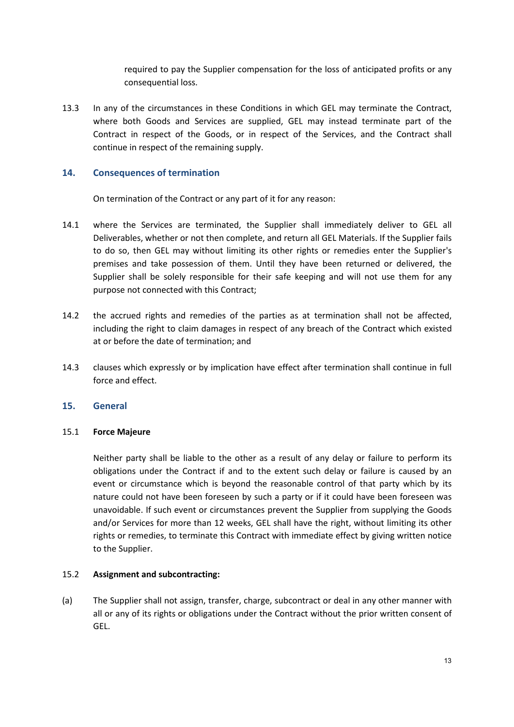required to pay the Supplier compensation for the loss of anticipated profits or any consequential loss.

13.3 In any of the circumstances in these Conditions in which GEL may terminate the Contract, where both Goods and Services are supplied, GEL may instead terminate part of the Contract in respect of the Goods, or in respect of the Services, and the Contract shall continue in respect of the remaining supply.

## **14. Consequences of termination**

On termination of the Contract or any part of it for any reason:

- 14.1 where the Services are terminated, the Supplier shall immediately deliver to GEL all Deliverables, whether or not then complete, and return all GEL Materials. If the Supplier fails to do so, then GEL may without limiting its other rights or remedies enter the Supplier's premises and take possession of them. Until they have been returned or delivered, the Supplier shall be solely responsible for their safe keeping and will not use them for any purpose not connected with this Contract;
- 14.2 the accrued rights and remedies of the parties as at termination shall not be affected, including the right to claim damages in respect of any breach of the Contract which existed at or before the date of termination; and
- 14.3 clauses which expressly or by implication have effect after termination shall continue in full force and effect.

#### **15. General**

#### 15.1 **Force Majeure**

Neither party shall be liable to the other as a result of any delay or failure to perform its obligations under the Contract if and to the extent such delay or failure is caused by an event or circumstance which is beyond the reasonable control of that party which by its nature could not have been foreseen by such a party or if it could have been foreseen was unavoidable. If such event or circumstances prevent the Supplier from supplying the Goods and/or Services for more than 12 weeks, GEL shall have the right, without limiting its other rights or remedies, to terminate this Contract with immediate effect by giving written notice to the Supplier.

#### 15.2 **Assignment and subcontracting:**

(a) The Supplier shall not assign, transfer, charge, subcontract or deal in any other manner with all or any of its rights or obligations under the Contract without the prior written consent of GEL.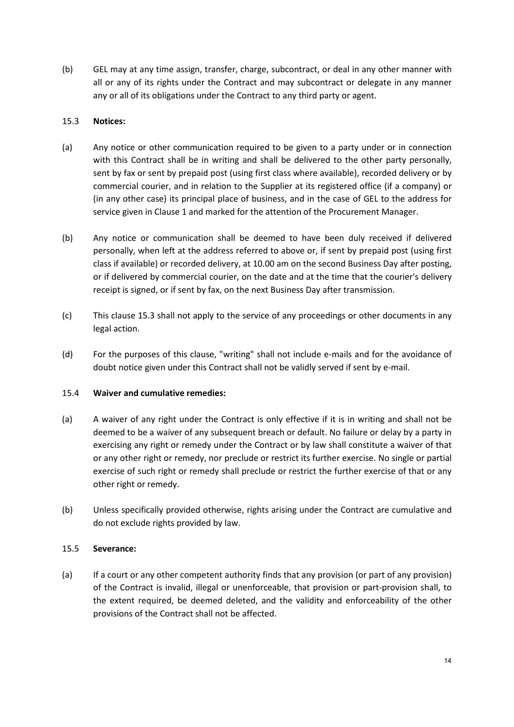(b) GEL may at any time assign, transfer, charge, subcontract, or deal in any other manner with all or any of its rights under the Contract and may subcontract or delegate in any manner any or all of its obligations under the Contract to any third party or agent.

## 15.3 **Notices:**

- (a) Any notice or other communication required to be given to a party under or in connection with this Contract shall be in writing and shall be delivered to the other party personally, sent by fax or sent by prepaid post (using first class where available), recorded delivery or by commercial courier, and in relation to the Supplier at its registered office (if a company) or (in any other case) its principal place of business, and in the case of GEL to the address for service given in Clause 1 and marked for the attention of the Procurement Manager.
- (b) Any notice or communication shall be deemed to have been duly received if delivered personally, when left at the address referred to above or, if sent by prepaid post (using first class if available) or recorded delivery, at 10.00 am on the second Business Day after posting, or if delivered by commercial courier, on the date and at the time that the courier's delivery receipt is signed, or if sent by fax, on the next Business Day after transmission.
- (c) This clause 15.3 shall not apply to the service of any proceedings or other documents in any legal action.
- (d) For the purposes of this clause, "writing" shall not include e-mails and for the avoidance of doubt notice given under this Contract shall not be validly served if sent by e-mail.

# 15.4 **Waiver and cumulative remedies:**

- (a) A waiver of any right under the Contract is only effective if it is in writing and shall not be deemed to be a waiver of any subsequent breach or default. No failure or delay by a party in exercising any right or remedy under the Contract or by law shall constitute a waiver of that or any other right or remedy, nor preclude or restrict its further exercise. No single or partial exercise of such right or remedy shall preclude or restrict the further exercise of that or any other right or remedy.
- (b) Unless specifically provided otherwise, rights arising under the Contract are cumulative and do not exclude rights provided by law.

#### 15.5 **Severance:**

(a) If a court or any other competent authority finds that any provision (or part of any provision) of the Contract is invalid, illegal or unenforceable, that provision or part-provision shall, to the extent required, be deemed deleted, and the validity and enforceability of the other provisions of the Contract shall not be affected.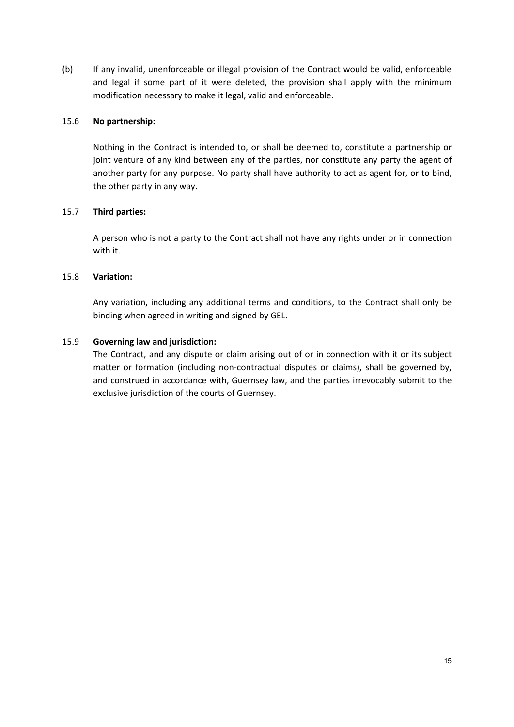(b) If any invalid, unenforceable or illegal provision of the Contract would be valid, enforceable and legal if some part of it were deleted, the provision shall apply with the minimum modification necessary to make it legal, valid and enforceable.

## 15.6 **No partnership:**

Nothing in the Contract is intended to, or shall be deemed to, constitute a partnership or joint venture of any kind between any of the parties, nor constitute any party the agent of another party for any purpose. No party shall have authority to act as agent for, or to bind, the other party in any way.

## 15.7 **Third parties:**

A person who is not a party to the Contract shall not have any rights under or in connection with it.

## 15.8 **Variation:**

Any variation, including any additional terms and conditions, to the Contract shall only be binding when agreed in writing and signed by GEL.

## 15.9 **Governing law and jurisdiction:**

The Contract, and any dispute or claim arising out of or in connection with it or its subject matter or formation (including non-contractual disputes or claims), shall be governed by, and construed in accordance with, Guernsey law, and the parties irrevocably submit to the exclusive jurisdiction of the courts of Guernsey.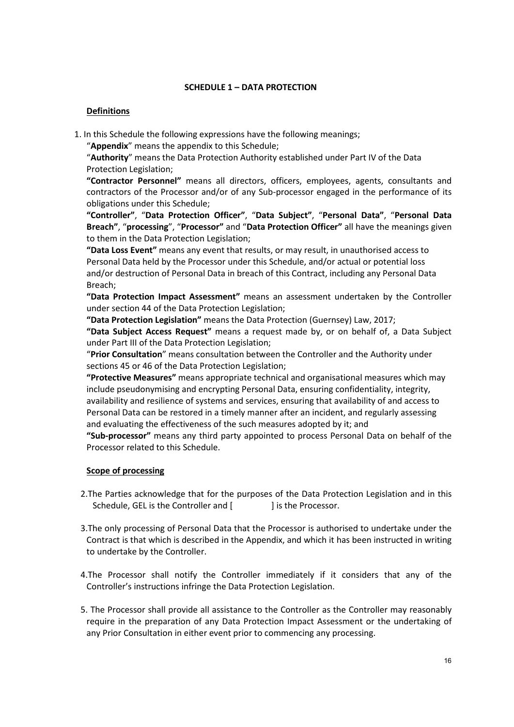## **SCHEDULE 1 – DATA PROTECTION**

## **Definitions**

1. In this Schedule the following expressions have the following meanings;

"**Appendix**" means the appendix to this Schedule;

"**Authority**" means the Data Protection Authority established under Part IV of the Data Protection Legislation;

**"Contractor Personnel"** means all directors, officers, employees, agents, consultants and contractors of the Processor and/or of any Sub-processor engaged in the performance of its obligations under this Schedule;

**"Controller"**, "**Data Protection Officer"**, "**Data Subject"**, "**Personal Data"**, "**Personal Data Breach"**, "**processing**", "**Processor"** and "**Data Protection Officer"** all have the meanings given to them in the Data Protection Legislation;

**"Data Loss Event"** means any event that results, or may result, in unauthorised access to Personal Data held by the Processor under this Schedule, and/or actual or potential loss and/or destruction of Personal Data in breach of this Contract, including any Personal Data Breach;

**"Data Protection Impact Assessment"** means an assessment undertaken by the Controller under section 44 of the Data Protection Legislation;

**"Data Protection Legislation"** means the Data Protection (Guernsey) Law, 2017;

**"Data Subject Access Request"** means a request made by, or on behalf of, a Data Subject under Part III of the Data Protection Legislation;

"**Prior Consultation**" means consultation between the Controller and the Authority under sections 45 or 46 of the Data Protection Legislation;

**"Protective Measures"** means appropriate technical and organisational measures which may include pseudonymising and encrypting Personal Data, ensuring confidentiality, integrity, availability and resilience of systems and services, ensuring that availability of and access to Personal Data can be restored in a timely manner after an incident, and regularly assessing and evaluating the effectiveness of the such measures adopted by it; and

**"Sub-processor"** means any third party appointed to process Personal Data on behalf of the Processor related to this Schedule.

#### **Scope of processing**

- 2.The Parties acknowledge that for the purposes of the Data Protection Legislation and in this Schedule, GEL is the Controller and [ ] is the Processor.
- 3.The only processing of Personal Data that the Processor is authorised to undertake under the Contract is that which is described in the Appendix, and which it has been instructed in writing to undertake by the Controller.
- 4.The Processor shall notify the Controller immediately if it considers that any of the Controller's instructions infringe the Data Protection Legislation.
- 5. The Processor shall provide all assistance to the Controller as the Controller may reasonably require in the preparation of any Data Protection Impact Assessment or the undertaking of any Prior Consultation in either event prior to commencing any processing.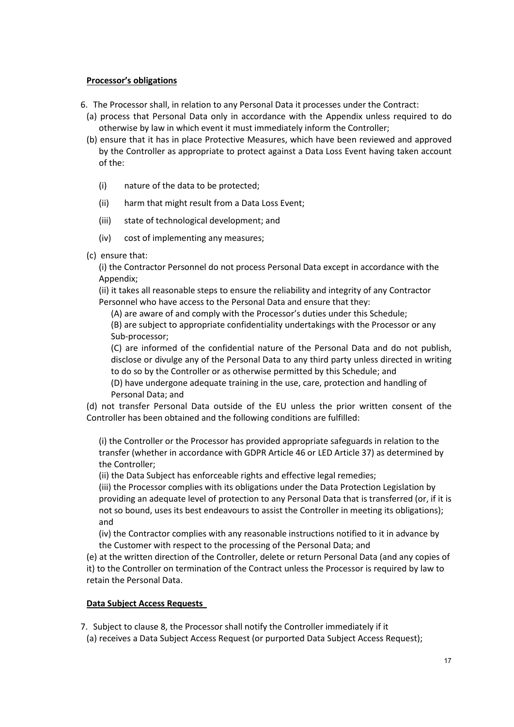## **Processor's obligations**

- 6. The Processor shall, in relation to any Personal Data it processes under the Contract:
	- (a) process that Personal Data only in accordance with the Appendix unless required to do otherwise by law in which event it must immediately inform the Controller;
	- (b) ensure that it has in place Protective Measures, which have been reviewed and approved by the Controller as appropriate to protect against a Data Loss Event having taken account of the:
		- (i) nature of the data to be protected;
		- (ii) harm that might result from a Data Loss Event;
		- (iii) state of technological development; and
		- (iv) cost of implementing any measures;
	- (c) ensure that:

(i) the Contractor Personnel do not process Personal Data except in accordance with the Appendix;

(ii) it takes all reasonable steps to ensure the reliability and integrity of any Contractor Personnel who have access to the Personal Data and ensure that they:

(A) are aware of and comply with the Processor's duties under this Schedule;

(B) are subject to appropriate confidentiality undertakings with the Processor or any Sub-processor;

(C) are informed of the confidential nature of the Personal Data and do not publish, disclose or divulge any of the Personal Data to any third party unless directed in writing to do so by the Controller or as otherwise permitted by this Schedule; and

(D) have undergone adequate training in the use, care, protection and handling of Personal Data; and

(d) not transfer Personal Data outside of the EU unless the prior written consent of the Controller has been obtained and the following conditions are fulfilled:

(i) the Controller or the Processor has provided appropriate safeguards in relation to the transfer (whether in accordance with GDPR Article 46 or LED Article 37) as determined by the Controller;

(ii) the Data Subject has enforceable rights and effective legal remedies;

(iii) the Processor complies with its obligations under the Data Protection Legislation by providing an adequate level of protection to any Personal Data that is transferred (or, if it is not so bound, uses its best endeavours to assist the Controller in meeting its obligations); and

(iv) the Contractor complies with any reasonable instructions notified to it in advance by the Customer with respect to the processing of the Personal Data; and

(e) at the written direction of the Controller, delete or return Personal Data (and any copies of it) to the Controller on termination of the Contract unless the Processor is required by law to retain the Personal Data.

# **Data Subject Access Requests**

7. Subject to clause 8, the Processor shall notify the Controller immediately if it

(a) receives a Data Subject Access Request (or purported Data Subject Access Request);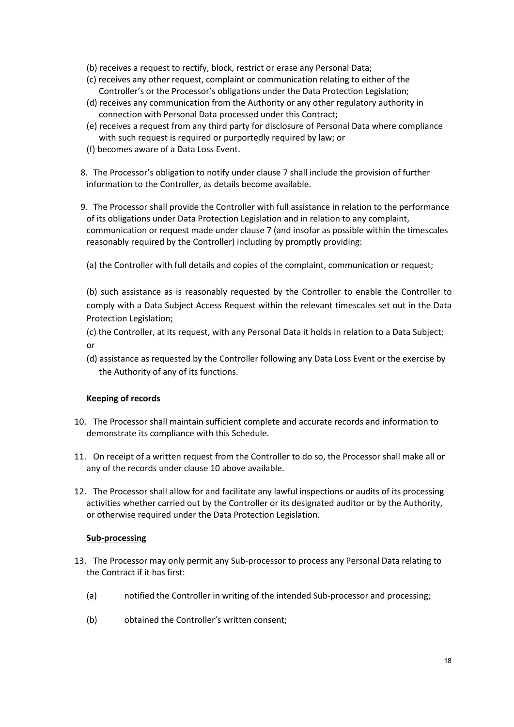- (b) receives a request to rectify, block, restrict or erase any Personal Data;
- (c) receives any other request, complaint or communication relating to either of the Controller's or the Processor's obligations under the Data Protection Legislation;
- (d) receives any communication from the Authority or any other regulatory authority in connection with Personal Data processed under this Contract;
- (e) receives a request from any third party for disclosure of Personal Data where compliance with such request is required or purportedly required by law; or
- (f) becomes aware of a Data Loss Event.
- 8. The Processor's obligation to notify under clause 7 shall include the provision of further information to the Controller, as details become available.
- 9. The Processor shall provide the Controller with full assistance in relation to the performance of its obligations under Data Protection Legislation and in relation to any complaint, communication or request made under clause 7 (and insofar as possible within the timescales reasonably required by the Controller) including by promptly providing:
	- (a) the Controller with full details and copies of the complaint, communication or request;

(b) such assistance as is reasonably requested by the Controller to enable the Controller to comply with a Data Subject Access Request within the relevant timescales set out in the Data Protection Legislation;

- (c) the Controller, at its request, with any Personal Data it holds in relation to a Data Subject; or
- (d) assistance as requested by the Controller following any Data Loss Event or the exercise by the Authority of any of its functions.

#### **Keeping of records**

- 10. The Processor shall maintain sufficient complete and accurate records and information to demonstrate its compliance with this Schedule.
- 11. On receipt of a written request from the Controller to do so, the Processor shall make all or any of the records under clause 10 above available.
- 12. The Processor shall allow for and facilitate any lawful inspections or audits of its processing activities whether carried out by the Controller or its designated auditor or by the Authority, or otherwise required under the Data Protection Legislation.

#### **Sub-processing**

- 13. The Processor may only permit any Sub-processor to process any Personal Data relating to the Contract if it has first:
	- (a) notified the Controller in writing of the intended Sub-processor and processing;
	- (b) obtained the Controller's written consent;